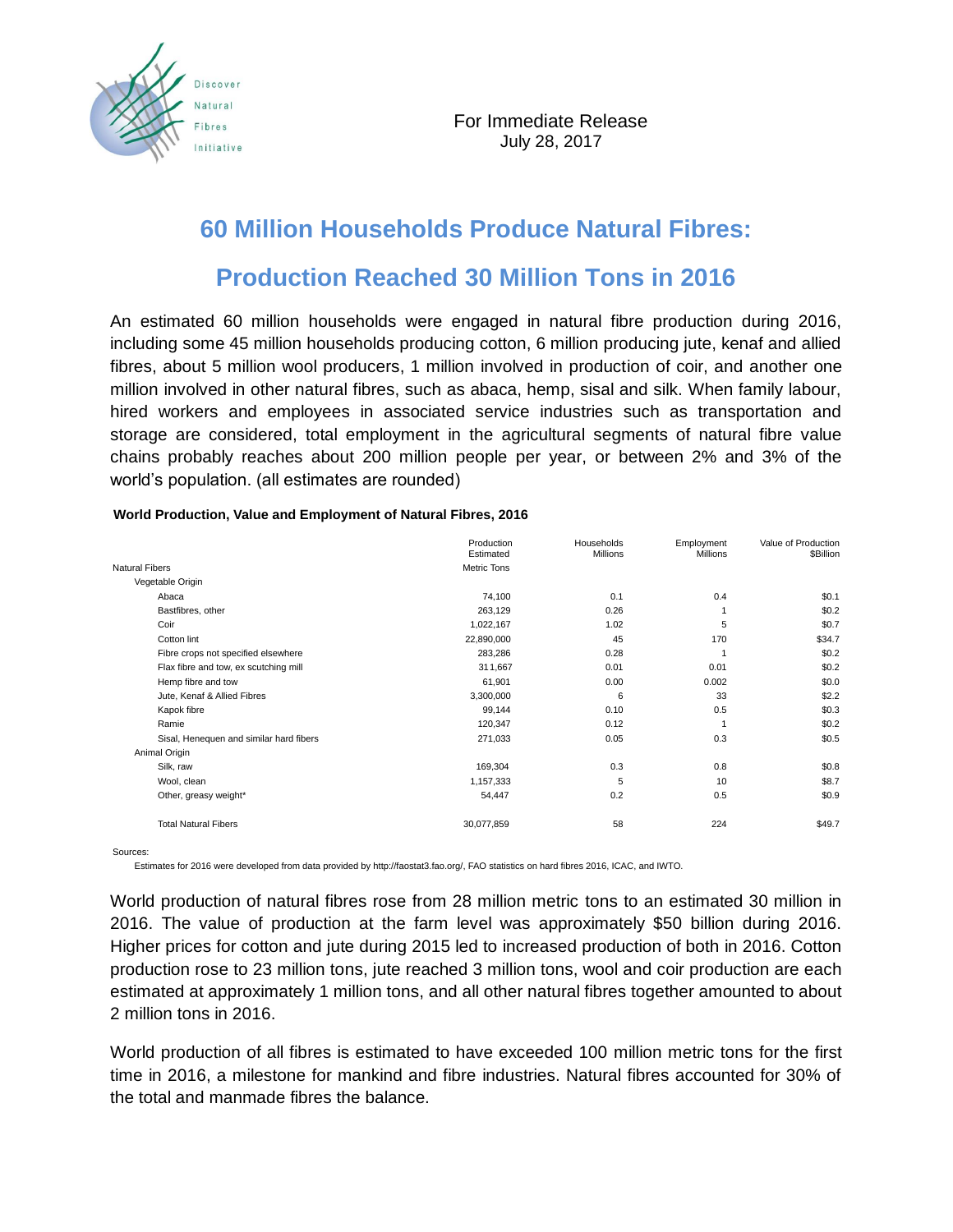

## **60 Million Households Produce Natural Fibres:**

## **Production Reached 30 Million Tons in 2016**

An estimated 60 million households were engaged in natural fibre production during 2016, including some 45 million households producing cotton, 6 million producing jute, kenaf and allied fibres, about 5 million wool producers, 1 million involved in production of coir, and another one million involved in other natural fibres, such as abaca, hemp, sisal and silk. When family labour, hired workers and employees in associated service industries such as transportation and storage are considered, total employment in the agricultural segments of natural fibre value chains probably reaches about 200 million people per year, or between 2% and 3% of the world's population. (all estimates are rounded)

|                                         | Production<br>Estimated | Households<br><b>Millions</b> | Employment<br><b>Millions</b> | Value of Production<br>\$Billion |
|-----------------------------------------|-------------------------|-------------------------------|-------------------------------|----------------------------------|
| <b>Natural Fibers</b>                   | Metric Tons             |                               |                               |                                  |
| Vegetable Origin                        |                         |                               |                               |                                  |
| Abaca                                   | 74,100                  | 0.1                           | 0.4                           | \$0.1                            |
| Bastfibres, other                       | 263,129                 | 0.26                          |                               | \$0.2                            |
| Coir                                    | 1,022,167               | 1.02                          | 5                             | \$0.7                            |
| Cotton lint                             | 22,890,000              | 45                            | 170                           | \$34.7                           |
| Fibre crops not specified elsewhere     | 283,286                 | 0.28                          | 1                             | \$0.2                            |
| Flax fibre and tow, ex scutching mill   | 311,667                 | 0.01                          | 0.01                          | \$0.2                            |
| Hemp fibre and tow                      | 61,901                  | 0.00                          | 0.002                         | \$0.0                            |
| Jute, Kenaf & Allied Fibres             | 3,300,000               | 6                             | 33                            | \$2.2                            |
| Kapok fibre                             | 99,144                  | 0.10                          | 0.5                           | \$0.3                            |
| Ramie                                   | 120,347                 | 0.12                          |                               | \$0.2                            |
| Sisal, Henequen and similar hard fibers | 271,033                 | 0.05                          | 0.3                           | \$0.5                            |
| Animal Origin                           |                         |                               |                               |                                  |
| Silk, raw                               | 169,304                 | 0.3                           | 0.8                           | \$0.8                            |
| Wool, clean                             | 1,157,333               | 5                             | 10                            | \$8.7                            |
| Other, greasy weight*                   | 54,447                  | 0.2                           | 0.5                           | \$0.9                            |
| <b>Total Natural Fibers</b>             | 30,077,859              | 58                            | 224                           | \$49.7                           |

## **World Production, Value and Employment of Natural Fibres, 2016**

Sources:

Estimates for 2016 were developed from data provided by http://faostat3.fao.org/, FAO statistics on hard fibres 2016, ICAC, and IWTO.

World production of natural fibres rose from 28 million metric tons to an estimated 30 million in 2016. The value of production at the farm level was approximately \$50 billion during 2016. Higher prices for cotton and jute during 2015 led to increased production of both in 2016. Cotton production rose to 23 million tons, jute reached 3 million tons, wool and coir production are each estimated at approximately 1 million tons, and all other natural fibres together amounted to about 2 million tons in 2016.

World production of all fibres is estimated to have exceeded 100 million metric tons for the first time in 2016, a milestone for mankind and fibre industries. Natural fibres accounted for 30% of the total and manmade fibres the balance.